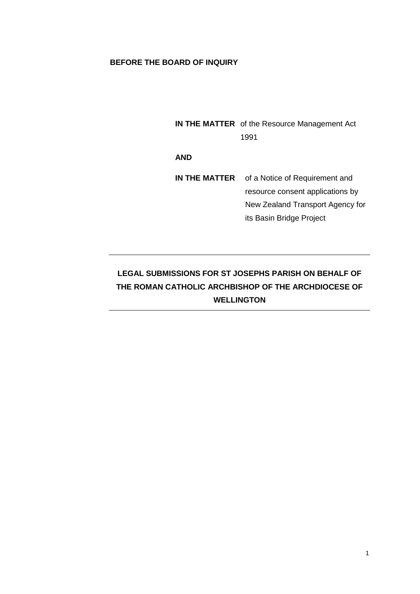## **BEFORE THE BOARD OF INQUIRY**

**IN THE MATTER** of the Resource Management Act 1991

**AND**

**IN THE MATTER** of a Notice of Requirement and resource consent applications by New Zealand Transport Agency for its Basin Bridge Project

# **LEGAL SUBMISSIONS FOR ST JOSEPHS PARISH ON BEHALF OF THE ROMAN CATHOLIC ARCHBISHOP OF THE ARCHDIOCESE OF WELLINGTON**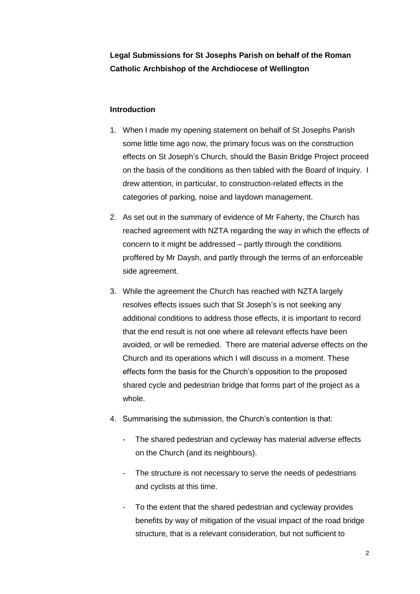## **Legal Submissions for St Josephs Parish on behalf of the Roman Catholic Archbishop of the Archdiocese of Wellington**

## **Introduction**

- 1. When I made my opening statement on behalf of St Josephs Parish some little time ago now, the primary focus was on the construction effects on St Joseph's Church, should the Basin Bridge Project proceed on the basis of the conditions as then tabled with the Board of Inquiry. I drew attention, in particular, to construction-related effects in the categories of parking, noise and laydown management.
- 2. As set out in the summary of evidence of Mr Faherty, the Church has reached agreement with NZTA regarding the way in which the effects of concern to it might be addressed – partly through the conditions proffered by Mr Daysh, and partly through the terms of an enforceable side agreement.
- 3. While the agreement the Church has reached with NZTA largely resolves effects issues such that St Joseph's is not seeking any additional conditions to address those effects, it is important to record that the end result is not one where all relevant effects have been avoided, or will be remedied. There are material adverse effects on the Church and its operations which I will discuss in a moment. These effects form the basis for the Church's opposition to the proposed shared cycle and pedestrian bridge that forms part of the project as a whole.
- 4. Summarising the submission, the Church's contention is that:
	- The shared pedestrian and cycleway has material adverse effects on the Church (and its neighbours).
	- The structure is not necessary to serve the needs of pedestrians and cyclists at this time.
	- To the extent that the shared pedestrian and cycleway provides benefits by way of mitigation of the visual impact of the road bridge structure, that is a relevant consideration, but not sufficient to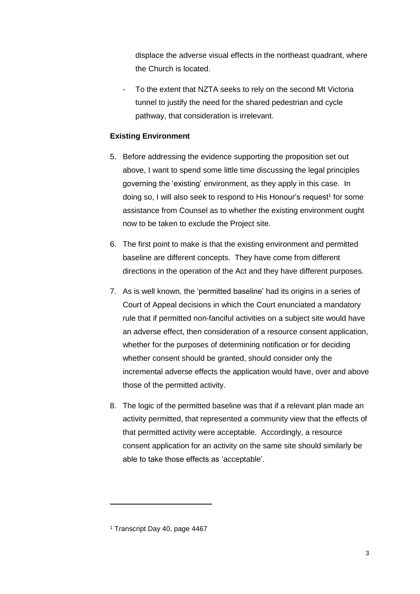displace the adverse visual effects in the northeast quadrant, where the Church is located.

To the extent that NZTA seeks to rely on the second Mt Victoria tunnel to justify the need for the shared pedestrian and cycle pathway, that consideration is irrelevant.

## **Existing Environment**

- 5. Before addressing the evidence supporting the proposition set out above, I want to spend some little time discussing the legal principles governing the 'existing' environment, as they apply in this case. In doing so, I will also seek to respond to His Honour's request<sup>1</sup> for some assistance from Counsel as to whether the existing environment ought now to be taken to exclude the Project site.
- 6. The first point to make is that the existing environment and permitted baseline are different concepts. They have come from different directions in the operation of the Act and they have different purposes.
- 7. As is well known, the 'permitted baseline' had its origins in a series of Court of Appeal decisions in which the Court enunciated a mandatory rule that if permitted non-fanciful activities on a subject site would have an adverse effect, then consideration of a resource consent application, whether for the purposes of determining notification or for deciding whether consent should be granted, should consider only the incremental adverse effects the application would have, over and above those of the permitted activity.
- 8. The logic of the permitted baseline was that if a relevant plan made an activity permitted, that represented a community view that the effects of that permitted activity were acceptable. Accordingly, a resource consent application for an activity on the same site should similarly be able to take those effects as 'acceptable'.

<sup>1</sup> Transcript Day 40, page 4467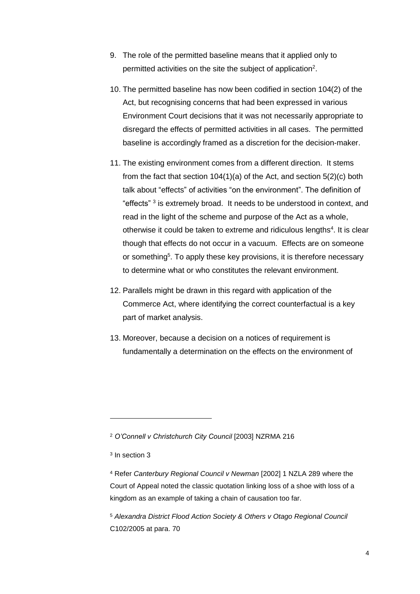- 9. The role of the permitted baseline means that it applied only to permitted activities on the site the subject of application<sup>2</sup>.
- 10. The permitted baseline has now been codified in section 104(2) of the Act, but recognising concerns that had been expressed in various Environment Court decisions that it was not necessarily appropriate to disregard the effects of permitted activities in all cases. The permitted baseline is accordingly framed as a discretion for the decision-maker.
- 11. The existing environment comes from a different direction. It stems from the fact that section 104(1)(a) of the Act, and section 5(2)(c) both talk about "effects" of activities "on the environment". The definition of "effects"<sup>3</sup> is extremely broad. It needs to be understood in context, and read in the light of the scheme and purpose of the Act as a whole, otherwise it could be taken to extreme and ridiculous lengths<sup>4</sup>. It is clear though that effects do not occur in a vacuum. Effects are on someone or something<sup>5</sup>. To apply these key provisions, it is therefore necessary to determine what or who constitutes the relevant environment.
- 12. Parallels might be drawn in this regard with application of the Commerce Act, where identifying the correct counterfactual is a key part of market analysis.
- 13. Moreover, because a decision on a notices of requirement is fundamentally a determination on the effects on the environment of

<sup>2</sup> *O'Connell v Christchurch City Council* [2003] NZRMA 216

-

<sup>5</sup> *Alexandra District Flood Action Society & Others v Otago Regional Council* C102/2005 at para. 70

<sup>3</sup> In section 3

<sup>4</sup> Refer *Canterbury Regional Council v Newman* [2002] 1 NZLA 289 where the Court of Appeal noted the classic quotation linking loss of a shoe with loss of a kingdom as an example of taking a chain of causation too far.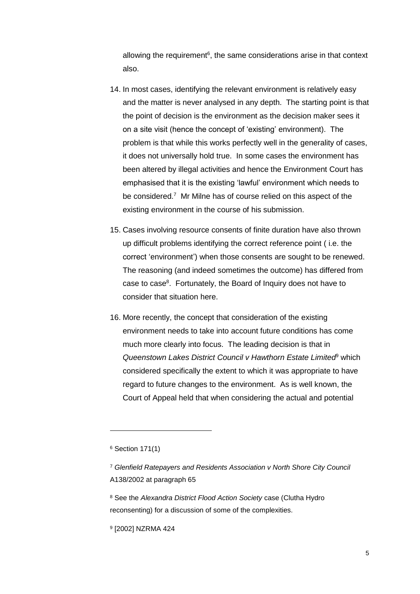allowing the requirement<sup>6</sup>, the same considerations arise in that context also.

- 14. In most cases, identifying the relevant environment is relatively easy and the matter is never analysed in any depth. The starting point is that the point of decision is the environment as the decision maker sees it on a site visit (hence the concept of 'existing' environment). The problem is that while this works perfectly well in the generality of cases, it does not universally hold true. In some cases the environment has been altered by illegal activities and hence the Environment Court has emphasised that it is the existing 'lawful' environment which needs to be considered.<sup>7</sup> Mr Milne has of course relied on this aspect of the existing environment in the course of his submission.
- 15. Cases involving resource consents of finite duration have also thrown up difficult problems identifying the correct reference point ( i.e. the correct 'environment') when those consents are sought to be renewed. The reasoning (and indeed sometimes the outcome) has differed from case to case<sup>8</sup>. Fortunately, the Board of Inquiry does not have to consider that situation here.
- 16. More recently, the concept that consideration of the existing environment needs to take into account future conditions has come much more clearly into focus. The leading decision is that in *Queenstown Lakes District Council v Hawthorn Estate Limited*<sup>9</sup> which considered specifically the extent to which it was appropriate to have regard to future changes to the environment. As is well known, the Court of Appeal held that when considering the actual and potential

-

9 [2002] NZRMA 424

<sup>6</sup> Section 171(1)

<sup>7</sup> *Glenfield Ratepayers and Residents Association v North Shore City Council* A138/2002 at paragraph 65

<sup>8</sup> See the *Alexandra District Flood Action Society* case (Clutha Hydro reconsenting) for a discussion of some of the complexities.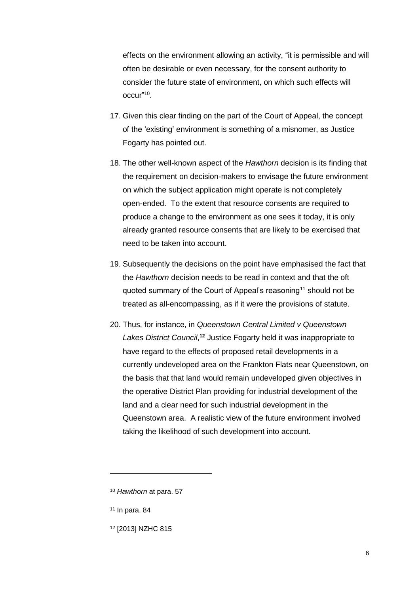effects on the environment allowing an activity, "it is permissible and will often be desirable or even necessary, for the consent authority to consider the future state of environment, on which such effects will occur" 10 .

- 17. Given this clear finding on the part of the Court of Appeal, the concept of the 'existing' environment is something of a misnomer, as Justice Fogarty has pointed out.
- 18. The other well-known aspect of the *Hawthorn* decision is its finding that the requirement on decision-makers to envisage the future environment on which the subject application might operate is not completely open-ended. To the extent that resource consents are required to produce a change to the environment as one sees it today, it is only already granted resource consents that are likely to be exercised that need to be taken into account.
- 19. Subsequently the decisions on the point have emphasised the fact that the *Hawthorn* decision needs to be read in context and that the oft quoted summary of the Court of Appeal's reasoning<sup>11</sup> should not be treated as all-encompassing, as if it were the provisions of statute.
- 20. Thus, for instance, in *Queenstown Central Limited v Queenstown*  Lakes District Council,<sup>12</sup> Justice Fogarty held it was inappropriate to have regard to the effects of proposed retail developments in a currently undeveloped area on the Frankton Flats near Queenstown, on the basis that that land would remain undeveloped given objectives in the operative District Plan providing for industrial development of the land and a clear need for such industrial development in the Queenstown area. A realistic view of the future environment involved taking the likelihood of such development into account.

 $11$  In para, 84

-

<sup>12</sup> [2013] NZHC 815

<sup>10</sup> *Hawthorn* at para. 57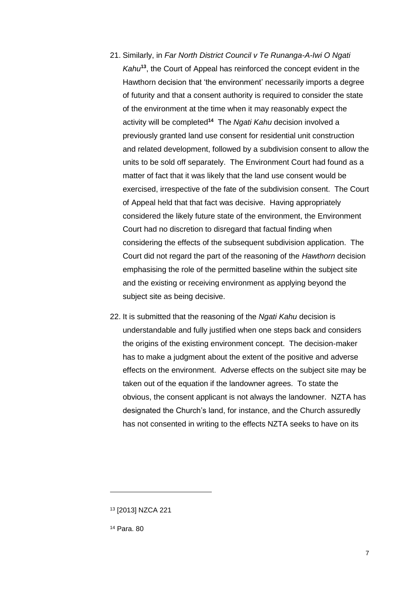- 21. Similarly, in *Far North District Council v Te Runanga-A-Iwi O Ngati Kahu***<sup>13</sup>**, the Court of Appeal has reinforced the concept evident in the Hawthorn decision that 'the environment' necessarily imports a degree of futurity and that a consent authority is required to consider the state of the environment at the time when it may reasonably expect the activity will be completed**<sup>14</sup>** The *Ngati Kahu* decision involved a previously granted land use consent for residential unit construction and related development, followed by a subdivision consent to allow the units to be sold off separately. The Environment Court had found as a matter of fact that it was likely that the land use consent would be exercised, irrespective of the fate of the subdivision consent. The Court of Appeal held that that fact was decisive. Having appropriately considered the likely future state of the environment, the Environment Court had no discretion to disregard that factual finding when considering the effects of the subsequent subdivision application. The Court did not regard the part of the reasoning of the *Hawthorn* decision emphasising the role of the permitted baseline within the subject site and the existing or receiving environment as applying beyond the subject site as being decisive.
- 22. It is submitted that the reasoning of the *Ngati Kahu* decision is understandable and fully justified when one steps back and considers the origins of the existing environment concept. The decision-maker has to make a judgment about the extent of the positive and adverse effects on the environment. Adverse effects on the subject site may be taken out of the equation if the landowner agrees. To state the obvious, the consent applicant is not always the landowner. NZTA has designated the Church's land, for instance, and the Church assuredly has not consented in writing to the effects NZTA seeks to have on its

<sup>13</sup> [2013] NZCA 221

<sup>14</sup> Para. 80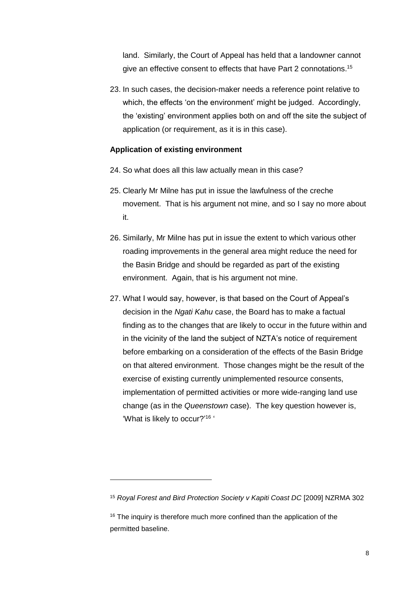land. Similarly, the Court of Appeal has held that a landowner cannot give an effective consent to effects that have Part 2 connotations.<sup>15</sup>

23. In such cases, the decision-maker needs a reference point relative to which, the effects 'on the environment' might be judged. Accordingly, the 'existing' environment applies both on and off the site the subject of application (or requirement, as it is in this case).

#### **Application of existing environment**

- 24. So what does all this law actually mean in this case?
- 25. Clearly Mr Milne has put in issue the lawfulness of the creche movement. That is his argument not mine, and so I say no more about it.
- 26. Similarly, Mr Milne has put in issue the extent to which various other roading improvements in the general area might reduce the need for the Basin Bridge and should be regarded as part of the existing environment. Again, that is his argument not mine.
- 27. What I would say, however, is that based on the Court of Appeal's decision in the *Ngati Kahu* case, the Board has to make a factual finding as to the changes that are likely to occur in the future within and in the vicinity of the land the subject of NZTA's notice of requirement before embarking on a consideration of the effects of the Basin Bridge on that altered environment. Those changes might be the result of the exercise of existing currently unimplemented resource consents, implementation of permitted activities or more wide-ranging land use change (as in the *Queenstown* case). The key question however is, 'What is likely to occur?'<sup>16</sup>

<sup>15</sup> *Royal Forest and Bird Protection Society v Kapiti Coast DC* [2009] NZRMA 302

<sup>&</sup>lt;sup>16</sup> The inquiry is therefore much more confined than the application of the permitted baseline.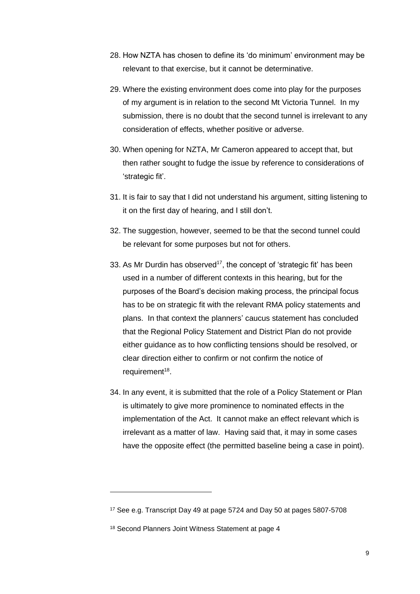- 28. How NZTA has chosen to define its 'do minimum' environment may be relevant to that exercise, but it cannot be determinative.
- 29. Where the existing environment does come into play for the purposes of my argument is in relation to the second Mt Victoria Tunnel. In my submission, there is no doubt that the second tunnel is irrelevant to any consideration of effects, whether positive or adverse.
- 30. When opening for NZTA, Mr Cameron appeared to accept that, but then rather sought to fudge the issue by reference to considerations of 'strategic fit'.
- 31. It is fair to say that I did not understand his argument, sitting listening to it on the first day of hearing, and I still don't.
- 32. The suggestion, however, seemed to be that the second tunnel could be relevant for some purposes but not for others.
- 33. As Mr Durdin has observed<sup>17</sup>, the concept of 'strategic fit' has been used in a number of different contexts in this hearing, but for the purposes of the Board's decision making process, the principal focus has to be on strategic fit with the relevant RMA policy statements and plans. In that context the planners' caucus statement has concluded that the Regional Policy Statement and District Plan do not provide either guidance as to how conflicting tensions should be resolved, or clear direction either to confirm or not confirm the notice of requirement<sup>18</sup>.
- 34. In any event, it is submitted that the role of a Policy Statement or Plan is ultimately to give more prominence to nominated effects in the implementation of the Act. It cannot make an effect relevant which is irrelevant as a matter of law. Having said that, it may in some cases have the opposite effect (the permitted baseline being a case in point).

<sup>17</sup> See e.g. Transcript Day 49 at page 5724 and Day 50 at pages 5807-5708

<sup>18</sup> Second Planners Joint Witness Statement at page 4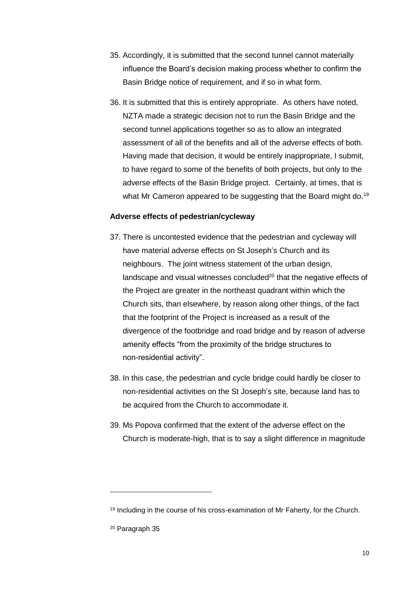- 35. Accordingly, it is submitted that the second tunnel cannot materially influence the Board's decision making process whether to confirm the Basin Bridge notice of requirement, and if so in what form.
- 36. It is submitted that this is entirely appropriate. As others have noted, NZTA made a strategic decision not to run the Basin Bridge and the second tunnel applications together so as to allow an integrated assessment of all of the benefits and all of the adverse effects of both. Having made that decision, it would be entirely inappropriate, I submit, to have regard to some of the benefits of both projects, but only to the adverse effects of the Basin Bridge project. Certainly, at times, that is what Mr Cameron appeared to be suggesting that the Board might do.<sup>19</sup>

#### **Adverse effects of pedestrian/cycleway**

- 37. There is uncontested evidence that the pedestrian and cycleway will have material adverse effects on St Joseph's Church and its neighbours. The joint witness statement of the urban design, landscape and visual witnesses concluded $20$  that the negative effects of the Project are greater in the northeast quadrant within which the Church sits, than elsewhere, by reason along other things, of the fact that the footprint of the Project is increased as a result of the divergence of the footbridge and road bridge and by reason of adverse amenity effects "from the proximity of the bridge structures to non-residential activity".
- 38. In this case, the pedestrian and cycle bridge could hardly be closer to non-residential activities on the St Joseph's site, because land has to be acquired from the Church to accommodate it.
- 39. Ms Popova confirmed that the extent of the adverse effect on the Church is moderate-high, that is to say a slight difference in magnitude

<sup>&</sup>lt;sup>19</sup> Including in the course of his cross-examination of Mr Faherty, for the Church.

<sup>20</sup> Paragraph 35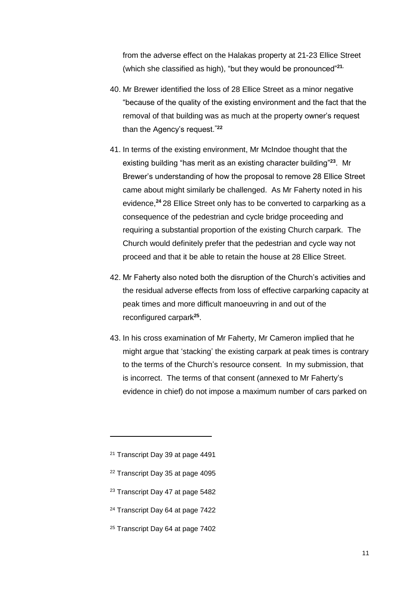from the adverse effect on the Halakas property at 21-23 Ellice Street (which she classified as high), "but they would be pronounced"**21.**

- 40. Mr Brewer identified the loss of 28 Ellice Street as a minor negative "because of the quality of the existing environment and the fact that the removal of that building was as much at the property owner's request than the Agency's request. **"22**
- 41. In terms of the existing environment, Mr McIndoe thought that the existing building "has merit as an existing character building" **<sup>23</sup>**. Mr Brewer's understanding of how the proposal to remove 28 Ellice Street came about might similarly be challenged. As Mr Faherty noted in his evidence, **<sup>24</sup>** 28 Ellice Street only has to be converted to carparking as a consequence of the pedestrian and cycle bridge proceeding and requiring a substantial proportion of the existing Church carpark. The Church would definitely prefer that the pedestrian and cycle way not proceed and that it be able to retain the house at 28 Ellice Street.
- 42. Mr Faherty also noted both the disruption of the Church's activities and the residual adverse effects from loss of effective carparking capacity at peak times and more difficult manoeuvring in and out of the reconfigured carpark**<sup>25</sup>** .
- 43. In his cross examination of Mr Faherty, Mr Cameron implied that he might argue that 'stacking' the existing carpark at peak times is contrary to the terms of the Church's resource consent. In my submission, that is incorrect. The terms of that consent (annexed to Mr Faherty's evidence in chief) do not impose a maximum number of cars parked on

- <sup>22</sup> Transcript Day 35 at page 4095
- <sup>23</sup> Transcript Day 47 at page 5482
- <sup>24</sup> Transcript Day 64 at page 7422
- <sup>25</sup> Transcript Day 64 at page 7402

<sup>21</sup> Transcript Day 39 at page 4491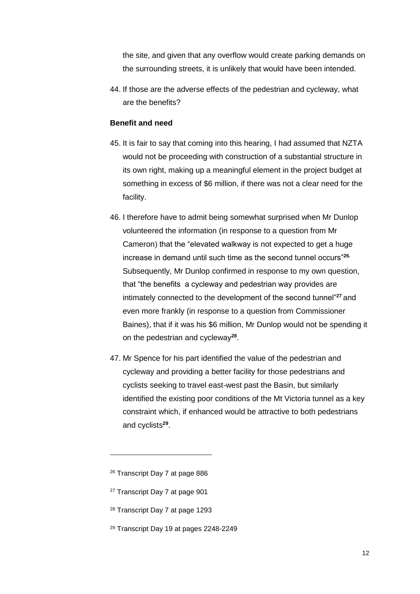the site, and given that any overflow would create parking demands on the surrounding streets, it is unlikely that would have been intended.

44. If those are the adverse effects of the pedestrian and cycleway, what are the benefits?

## **Benefit and need**

- 45. It is fair to say that coming into this hearing, I had assumed that NZTA would not be proceeding with construction of a substantial structure in its own right, making up a meaningful element in the project budget at something in excess of \$6 million, if there was not a clear need for the facility.
- 46. I therefore have to admit being somewhat surprised when Mr Dunlop volunteered the information (in response to a question from Mr Cameron) that the "elevated walkway is not expected to get a huge increase in demand until such time as the second tunnel occurs"**26.** Subsequently, Mr Dunlop confirmed in response to my own question, that "the benefits a cycleway and pedestrian way provides are intimately connected to the development of the second tunnel"**<sup>27</sup>** and even more frankly (in response to a question from Commissioner Baines), that if it was his \$6 million, Mr Dunlop would not be spending it on the pedestrian and cycleway**<sup>28</sup>** .
- 47. Mr Spence for his part identified the value of the pedestrian and cycleway and providing a better facility for those pedestrians and cyclists seeking to travel east-west past the Basin, but similarly identified the existing poor conditions of the Mt Victoria tunnel as a key constraint which, if enhanced would be attractive to both pedestrians and cyclists**<sup>29</sup>** .

- <sup>27</sup> Transcript Day 7 at page 901
- <sup>28</sup> Transcript Day 7 at page 1293
- <sup>29</sup> Transcript Day 19 at pages 2248-2249

<sup>26</sup> Transcript Day 7 at page 886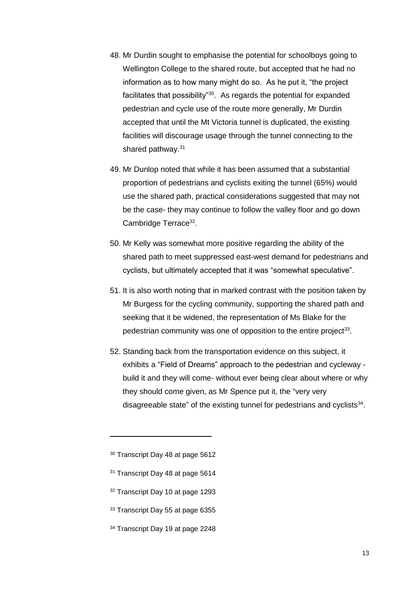- 48. Mr Durdin sought to emphasise the potential for schoolboys going to Wellington College to the shared route, but accepted that he had no information as to how many might do so. As he put it, "the project facilitates that possibility"<sup>30</sup>. As regards the potential for expanded pedestrian and cycle use of the route more generally, Mr Durdin accepted that until the Mt Victoria tunnel is duplicated, the existing facilities will discourage usage through the tunnel connecting to the shared pathway.<sup>31</sup>
- 49. Mr Dunlop noted that while it has been assumed that a substantial proportion of pedestrians and cyclists exiting the tunnel (65%) would use the shared path, practical considerations suggested that may not be the case- they may continue to follow the valley floor and go down Cambridge Terrace<sup>32</sup>.
- 50. Mr Kelly was somewhat more positive regarding the ability of the shared path to meet suppressed east-west demand for pedestrians and cyclists, but ultimately accepted that it was "somewhat speculative".
- 51. It is also worth noting that in marked contrast with the position taken by Mr Burgess for the cycling community, supporting the shared path and seeking that it be widened, the representation of Ms Blake for the pedestrian community was one of opposition to the entire project<sup>33</sup>.
- 52. Standing back from the transportation evidence on this subject, it exhibits a "Field of Dreams" approach to the pedestrian and cycleway build it and they will come- without ever being clear about where or why they should come given, as Mr Spence put it, the "very very disagreeable state" of the existing tunnel for pedestrians and cyclists $34$ .

- <sup>32</sup> Transcript Day 10 at page 1293
- <sup>33</sup> Transcript Day 55 at page 6355
- <sup>34</sup> Transcript Day 19 at page 2248

<sup>30</sup> Transcript Day 48 at page 5612

<sup>&</sup>lt;sup>31</sup> Transcript Day 48 at page 5614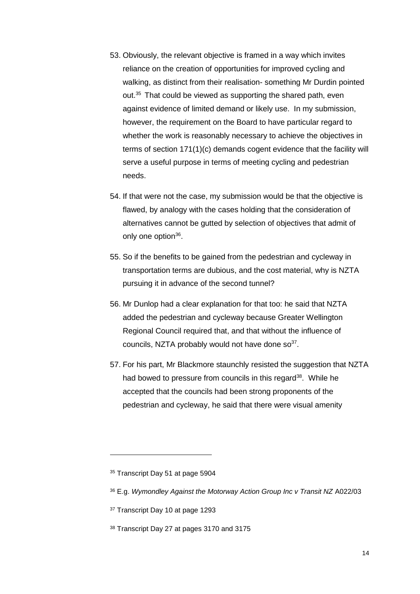- 53. Obviously, the relevant objective is framed in a way which invites reliance on the creation of opportunities for improved cycling and walking, as distinct from their realisation- something Mr Durdin pointed out.<sup>35</sup> That could be viewed as supporting the shared path, even against evidence of limited demand or likely use. In my submission, however, the requirement on the Board to have particular regard to whether the work is reasonably necessary to achieve the objectives in terms of section 171(1)(c) demands cogent evidence that the facility will serve a useful purpose in terms of meeting cycling and pedestrian needs.
- 54. If that were not the case, my submission would be that the objective is flawed, by analogy with the cases holding that the consideration of alternatives cannot be gutted by selection of objectives that admit of only one option<sup>36</sup>.
- 55. So if the benefits to be gained from the pedestrian and cycleway in transportation terms are dubious, and the cost material, why is NZTA pursuing it in advance of the second tunnel?
- 56. Mr Dunlop had a clear explanation for that too: he said that NZTA added the pedestrian and cycleway because Greater Wellington Regional Council required that, and that without the influence of councils, NZTA probably would not have done  $\text{so}^{37}$ .
- 57. For his part, Mr Blackmore staunchly resisted the suggestion that NZTA had bowed to pressure from councils in this regard<sup>38</sup>. While he accepted that the councils had been strong proponents of the pedestrian and cycleway, he said that there were visual amenity

<sup>&</sup>lt;sup>35</sup> Transcript Day 51 at page 5904

<sup>36</sup> E.g. *Wymondley Against the Motorway Action Group Inc v Transit NZ* A022/03

<sup>37</sup> Transcript Day 10 at page 1293

<sup>38</sup> Transcript Day 27 at pages 3170 and 3175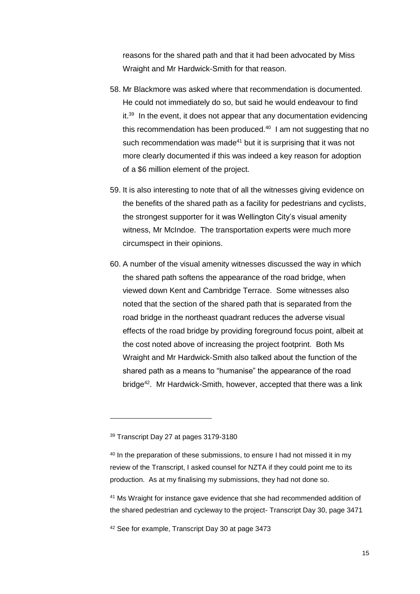reasons for the shared path and that it had been advocated by Miss Wraight and Mr Hardwick-Smith for that reason.

- 58. Mr Blackmore was asked where that recommendation is documented. He could not immediately do so, but said he would endeavour to find it.<sup>39</sup> In the event, it does not appear that any documentation evidencing this recommendation has been produced. $40$  I am not suggesting that no such recommendation was made<sup>41</sup> but it is surprising that it was not more clearly documented if this was indeed a key reason for adoption of a \$6 million element of the project.
- 59. It is also interesting to note that of all the witnesses giving evidence on the benefits of the shared path as a facility for pedestrians and cyclists, the strongest supporter for it was Wellington City's visual amenity witness, Mr McIndoe. The transportation experts were much more circumspect in their opinions.
- 60. A number of the visual amenity witnesses discussed the way in which the shared path softens the appearance of the road bridge, when viewed down Kent and Cambridge Terrace. Some witnesses also noted that the section of the shared path that is separated from the road bridge in the northeast quadrant reduces the adverse visual effects of the road bridge by providing foreground focus point, albeit at the cost noted above of increasing the project footprint. Both Ms Wraight and Mr Hardwick-Smith also talked about the function of the shared path as a means to "humanise" the appearance of the road bridge<sup>42</sup>. Mr Hardwick-Smith, however, accepted that there was a link

-

<sup>41</sup> Ms Wraight for instance gave evidence that she had recommended addition of the shared pedestrian and cycleway to the project- Transcript Day 30, page 3471

<sup>42</sup> See for example, Transcript Day 30 at page 3473

<sup>39</sup> Transcript Day 27 at pages 3179-3180

<sup>&</sup>lt;sup>40</sup> In the preparation of these submissions, to ensure I had not missed it in my review of the Transcript, I asked counsel for NZTA if they could point me to its production. As at my finalising my submissions, they had not done so.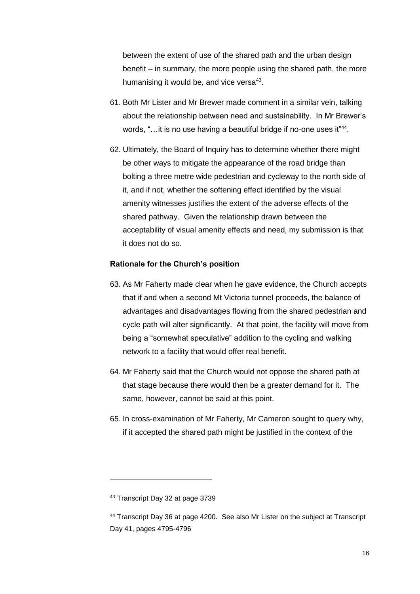between the extent of use of the shared path and the urban design benefit – in summary, the more people using the shared path, the more humanising it would be, and vice versa<sup>43</sup>.

- 61. Both Mr Lister and Mr Brewer made comment in a similar vein, talking about the relationship between need and sustainability. In Mr Brewer's words, "...it is no use having a beautiful bridge if no-one uses it<sup>"44</sup>.
- 62. Ultimately, the Board of Inquiry has to determine whether there might be other ways to mitigate the appearance of the road bridge than bolting a three metre wide pedestrian and cycleway to the north side of it, and if not, whether the softening effect identified by the visual amenity witnesses justifies the extent of the adverse effects of the shared pathway. Given the relationship drawn between the acceptability of visual amenity effects and need, my submission is that it does not do so.

#### **Rationale for the Church's position**

- 63. As Mr Faherty made clear when he gave evidence, the Church accepts that if and when a second Mt Victoria tunnel proceeds, the balance of advantages and disadvantages flowing from the shared pedestrian and cycle path will alter significantly. At that point, the facility will move from being a "somewhat speculative" addition to the cycling and walking network to a facility that would offer real benefit.
- 64. Mr Faherty said that the Church would not oppose the shared path at that stage because there would then be a greater demand for it. The same, however, cannot be said at this point.
- 65. In cross-examination of Mr Faherty, Mr Cameron sought to query why, if it accepted the shared path might be justified in the context of the

<sup>43</sup> Transcript Day 32 at page 3739

<sup>44</sup> Transcript Day 36 at page 4200. See also Mr Lister on the subject at Transcript Day 41, pages 4795-4796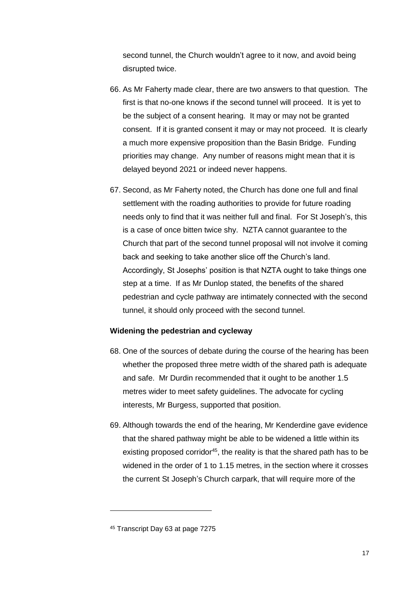second tunnel, the Church wouldn't agree to it now, and avoid being disrupted twice.

- 66. As Mr Faherty made clear, there are two answers to that question. The first is that no-one knows if the second tunnel will proceed. It is yet to be the subject of a consent hearing. It may or may not be granted consent. If it is granted consent it may or may not proceed. It is clearly a much more expensive proposition than the Basin Bridge. Funding priorities may change. Any number of reasons might mean that it is delayed beyond 2021 or indeed never happens.
- 67. Second, as Mr Faherty noted, the Church has done one full and final settlement with the roading authorities to provide for future roading needs only to find that it was neither full and final. For St Joseph's, this is a case of once bitten twice shy. NZTA cannot guarantee to the Church that part of the second tunnel proposal will not involve it coming back and seeking to take another slice off the Church's land. Accordingly, St Josephs' position is that NZTA ought to take things one step at a time. If as Mr Dunlop stated, the benefits of the shared pedestrian and cycle pathway are intimately connected with the second tunnel, it should only proceed with the second tunnel.

#### **Widening the pedestrian and cycleway**

- 68. One of the sources of debate during the course of the hearing has been whether the proposed three metre width of the shared path is adequate and safe. Mr Durdin recommended that it ought to be another 1.5 metres wider to meet safety guidelines. The advocate for cycling interests, Mr Burgess, supported that position.
- 69. Although towards the end of the hearing, Mr Kenderdine gave evidence that the shared pathway might be able to be widened a little within its existing proposed corridor<sup>45</sup>, the reality is that the shared path has to be widened in the order of 1 to 1.15 metres, in the section where it crosses the current St Joseph's Church carpark, that will require more of the

<sup>45</sup> Transcript Day 63 at page 7275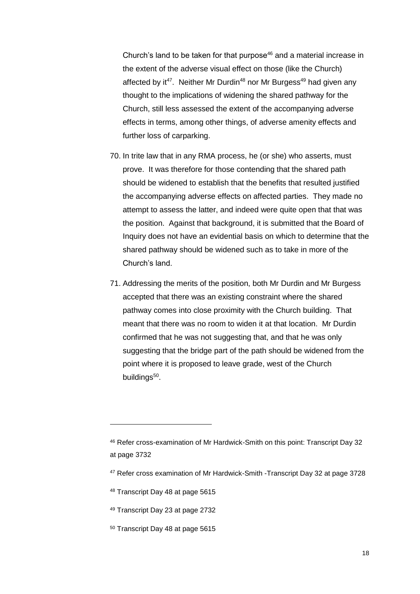Church's land to be taken for that purpose<sup>46</sup> and a material increase in the extent of the adverse visual effect on those (like the Church) affected by it<sup>47</sup>. Neither Mr Durdin<sup>48</sup> nor Mr Burgess<sup>49</sup> had given any thought to the implications of widening the shared pathway for the Church, still less assessed the extent of the accompanying adverse effects in terms, among other things, of adverse amenity effects and further loss of carparking.

- 70. In trite law that in any RMA process, he (or she) who asserts, must prove. It was therefore for those contending that the shared path should be widened to establish that the benefits that resulted justified the accompanying adverse effects on affected parties. They made no attempt to assess the latter, and indeed were quite open that that was the position. Against that background, it is submitted that the Board of Inquiry does not have an evidential basis on which to determine that the shared pathway should be widened such as to take in more of the Church's land.
- 71. Addressing the merits of the position, both Mr Durdin and Mr Burgess accepted that there was an existing constraint where the shared pathway comes into close proximity with the Church building. That meant that there was no room to widen it at that location. Mr Durdin confirmed that he was not suggesting that, and that he was only suggesting that the bridge part of the path should be widened from the point where it is proposed to leave grade, west of the Church buildings<sup>50</sup>.

<sup>46</sup> Refer cross-examination of Mr Hardwick-Smith on this point: Transcript Day 32 at page 3732

<sup>47</sup> Refer cross examination of Mr Hardwick-Smith -Transcript Day 32 at page 3728

<sup>48</sup> Transcript Day 48 at page 5615

<sup>49</sup> Transcript Day 23 at page 2732

<sup>50</sup> Transcript Day 48 at page 5615